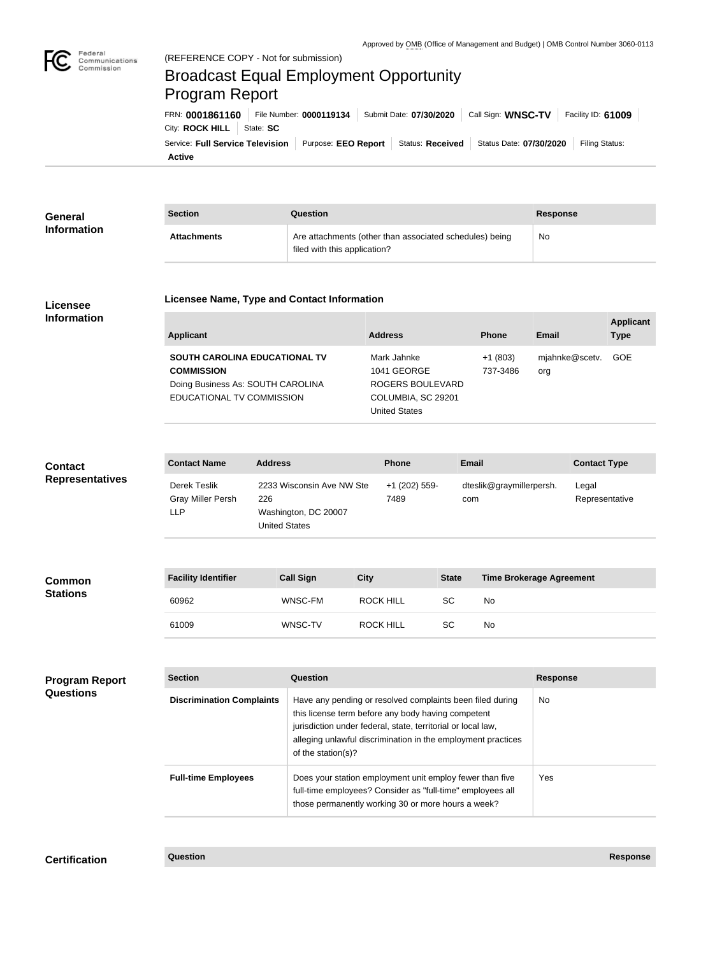

## Federal<br>Communications<br>Commission (REFERENCE COPY - Not for submission) Broadcast Equal Employment Opportunity Program ReportFRN: **0001861160** File Number: **0000119134** Submit Date: **07/30/2020** Call Sign: **WNSC-TV** Facility ID: **61009** City: **ROCK HILL** | State: SC Service: Full Service Television | Purpose: EEO Report | Status: Received | Status Date: 07/30/2020 | Filing Status: **Active**

| <b>General</b>                            | <b>Section</b>                                                                                                       | Question                                                                         |                                                                                         |                              |                                                                                                                       |           | <b>Response</b>          |                                 |                         |                  |  |
|-------------------------------------------|----------------------------------------------------------------------------------------------------------------------|----------------------------------------------------------------------------------|-----------------------------------------------------------------------------------------|------------------------------|-----------------------------------------------------------------------------------------------------------------------|-----------|--------------------------|---------------------------------|-------------------------|------------------|--|
| <b>Information</b>                        | <b>Attachments</b>                                                                                                   |                                                                                  | Are attachments (other than associated schedules) being<br>filed with this application? |                              |                                                                                                                       |           |                          | <b>No</b>                       |                         |                  |  |
| <b>Licensee</b><br><b>Information</b>     | <b>Licensee Name, Type and Contact Information</b>                                                                   |                                                                                  |                                                                                         |                              |                                                                                                                       |           |                          |                                 |                         | <b>Applicant</b> |  |
|                                           | <b>Applicant</b>                                                                                                     |                                                                                  |                                                                                         |                              | <b>Address</b>                                                                                                        |           | <b>Phone</b>             | <b>Email</b>                    |                         | <b>Type</b>      |  |
|                                           | SOUTH CAROLINA EDUCATIONAL TV<br><b>COMMISSION</b><br>Doing Business As: SOUTH CAROLINA<br>EDUCATIONAL TV COMMISSION |                                                                                  |                                                                                         |                              | Mark Jahnke<br>$+1(803)$<br>1041 GEORGE<br>737-3486<br>ROGERS BOULEVARD<br>COLUMBIA, SC 29201<br><b>United States</b> |           |                          | org                             | mjahnke@scetv.          | GOE              |  |
|                                           |                                                                                                                      |                                                                                  |                                                                                         |                              |                                                                                                                       |           |                          |                                 |                         |                  |  |
| <b>Contact</b><br><b>Representatives</b>  | <b>Contact Name</b><br><b>Address</b>                                                                                |                                                                                  |                                                                                         | <b>Phone</b><br><b>Email</b> |                                                                                                                       |           |                          | <b>Contact Type</b>             |                         |                  |  |
|                                           | <b>Derek Teslik</b><br><b>Gray Miller Persh</b><br><b>LLP</b>                                                        | 2233 Wisconsin Ave NW Ste<br>226<br>Washington, DC 20007<br><b>United States</b> |                                                                                         |                              | +1 (202) 559-<br>7489<br>com                                                                                          |           | dteslik@graymillerpersh. |                                 | Legal<br>Representative |                  |  |
|                                           |                                                                                                                      |                                                                                  |                                                                                         |                              |                                                                                                                       |           |                          |                                 |                         |                  |  |
| Common<br><b>Stations</b>                 | <b>Facility Identifier</b>                                                                                           | <b>Call Sign</b>                                                                 |                                                                                         | <b>City</b>                  |                                                                                                                       |           |                          | <b>Time Brokerage Agreement</b> |                         |                  |  |
|                                           | 60962                                                                                                                | WNSC-FM                                                                          |                                                                                         |                              | <b>ROCK HILL</b>                                                                                                      |           | No                       |                                 |                         |                  |  |
|                                           | 61009                                                                                                                |                                                                                  | WNSC-TV                                                                                 |                              | <b>ROCK HILL</b>                                                                                                      | <b>SC</b> | No                       |                                 |                         |                  |  |
|                                           |                                                                                                                      |                                                                                  |                                                                                         |                              |                                                                                                                       |           |                          |                                 |                         |                  |  |
| <b>Program Report</b><br><b>Questions</b> | <b>Section</b>                                                                                                       | Question                                                                         |                                                                                         |                              |                                                                                                                       |           |                          |                                 | <b>Response</b>         |                  |  |
|                                           | <b>Discrimination Complaints</b>                                                                                     | Have any pending or resolved complaints been filed during                        |                                                                                         |                              |                                                                                                                       |           | No                       |                                 |                         |                  |  |

| <b>Discrimination Complaints</b> | Have any pending or resolved complaints been filed during<br>this license term before any body having competent<br>jurisdiction under federal, state, territorial or local law,<br>alleging unlawful discrimination in the employment practices<br>of the station(s)? | No.        |
|----------------------------------|-----------------------------------------------------------------------------------------------------------------------------------------------------------------------------------------------------------------------------------------------------------------------|------------|
| <b>Full-time Employees</b>       | Does your station employment unit employ fewer than five<br>full-time employees? Consider as "full-time" employees all<br>those permanently working 30 or more hours a week?                                                                                          | <b>Yes</b> |

**Certification Question Response**